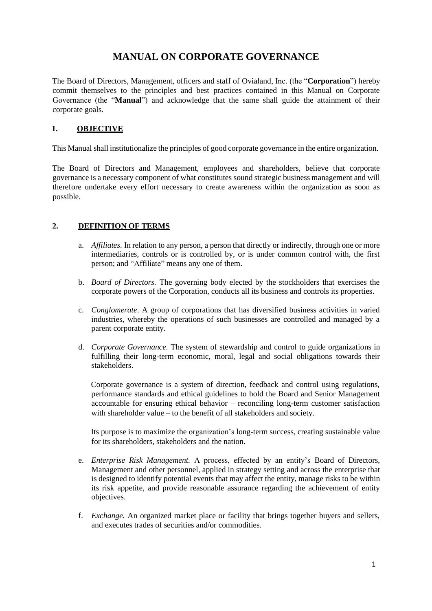# **MANUAL ON CORPORATE GOVERNANCE**

The Board of Directors, Management, officers and staff of Ovialand, Inc. (the "**Corporation**") hereby commit themselves to the principles and best practices contained in this Manual on Corporate Governance (the "**Manual**") and acknowledge that the same shall guide the attainment of their corporate goals.

## **1. OBJECTIVE**

This Manual shall institutionalize the principles of good corporate governance in the entire organization.

The Board of Directors and Management, employees and shareholders, believe that corporate governance is a necessary component of what constitutes sound strategic business management and will therefore undertake every effort necessary to create awareness within the organization as soon as possible.

# **2. DEFINITION OF TERMS**

- a. *Affiliates.* In relation to any person, a person that directly or indirectly, through one or more intermediaries, controls or is controlled by, or is under common control with, the first person; and "Affiliate" means any one of them.
- b. *Board of Directors.* The governing body elected by the stockholders that exercises the corporate powers of the Corporation, conducts all its business and controls its properties.
- c. *Conglomerate*. A group of corporations that has diversified business activities in varied industries, whereby the operations of such businesses are controlled and managed by a parent corporate entity.
- d. *Corporate Governance.* The system of stewardship and control to guide organizations in fulfilling their long-term economic, moral, legal and social obligations towards their stakeholders.

Corporate governance is a system of direction, feedback and control using regulations, performance standards and ethical guidelines to hold the Board and Senior Management accountable for ensuring ethical behavior – reconciling long-term customer satisfaction with shareholder value – to the benefit of all stakeholders and society.

Its purpose is to maximize the organization's long-term success, creating sustainable value for its shareholders, stakeholders and the nation.

- e. *Enterprise Risk Management.* A process, effected by an entity's Board of Directors, Management and other personnel, applied in strategy setting and across the enterprise that is designed to identify potential events that may affect the entity, manage risks to be within its risk appetite, and provide reasonable assurance regarding the achievement of entity objectives.
- f. *Exchange.* An organized market place or facility that brings together buyers and sellers, and executes trades of securities and/or commodities.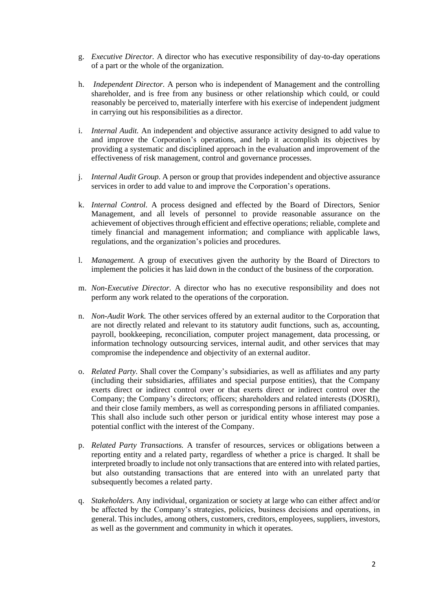- g. *Executive Director.* A director who has executive responsibility of day-to-day operations of a part or the whole of the organization.
- h. *Independent Director.* A person who is independent of Management and the controlling shareholder, and is free from any business or other relationship which could, or could reasonably be perceived to, materially interfere with his exercise of independent judgment in carrying out his responsibilities as a director.
- i. *Internal Audit.* An independent and objective assurance activity designed to add value to and improve the Corporation's operations, and help it accomplish its objectives by providing a systematic and disciplined approach in the evaluation and improvement of the effectiveness of risk management, control and governance processes.
- j. *Internal Audit Group.* A person or group that provides independent and objective assurance services in order to add value to and improve the Corporation's operations.
- k. *Internal Control.* A process designed and effected by the Board of Directors, Senior Management, and all levels of personnel to provide reasonable assurance on the achievement of objectives through efficient and effective operations; reliable, complete and timely financial and management information; and compliance with applicable laws, regulations, and the organization's policies and procedures.
- l. *Management.* A group of executives given the authority by the Board of Directors to implement the policies it has laid down in the conduct of the business of the corporation.
- m. *Non-Executive Director.* A director who has no executive responsibility and does not perform any work related to the operations of the corporation.
- n. *Non-Audit Work.* The other services offered by an external auditor to the Corporation that are not directly related and relevant to its statutory audit functions, such as, accounting, payroll, bookkeeping, reconciliation, computer project management, data processing, or information technology outsourcing services, internal audit, and other services that may compromise the independence and objectivity of an external auditor.
- o. *Related Party.* Shall cover the Company's subsidiaries, as well as affiliates and any party (including their subsidiaries, affiliates and special purpose entities), that the Company exerts direct or indirect control over or that exerts direct or indirect control over the Company; the Company's directors; officers; shareholders and related interests (DOSRI), and their close family members, as well as corresponding persons in affiliated companies. This shall also include such other person or juridical entity whose interest may pose a potential conflict with the interest of the Company.
- p. *Related Party Transactions.* A transfer of resources, services or obligations between a reporting entity and a related party, regardless of whether a price is charged. It shall be interpreted broadly to include not only transactions that are entered into with related parties, but also outstanding transactions that are entered into with an unrelated party that subsequently becomes a related party.
- q. *Stakeholders.* Any individual, organization or society at large who can either affect and/or be affected by the Company's strategies, policies, business decisions and operations, in general. This includes, among others, customers, creditors, employees, suppliers, investors, as well as the government and community in which it operates.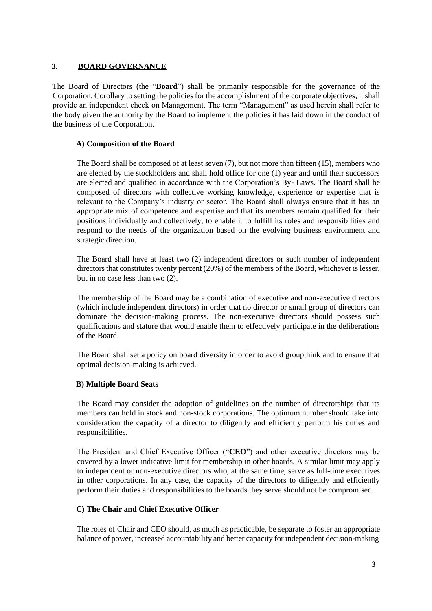## **3. BOARD GOVERNANCE**

The Board of Directors (the "**Board**") shall be primarily responsible for the governance of the Corporation. Corollary to setting the policies for the accomplishment of the corporate objectives, it shall provide an independent check on Management. The term "Management" as used herein shall refer to the body given the authority by the Board to implement the policies it has laid down in the conduct of the business of the Corporation.

# **A) Composition of the Board**

The Board shall be composed of at least seven (7), but not more than fifteen (15), members who are elected by the stockholders and shall hold office for one (1) year and until their successors are elected and qualified in accordance with the Corporation's By- Laws. The Board shall be composed of directors with collective working knowledge, experience or expertise that is relevant to the Company's industry or sector. The Board shall always ensure that it has an appropriate mix of competence and expertise and that its members remain qualified for their positions individually and collectively, to enable it to fulfill its roles and responsibilities and respond to the needs of the organization based on the evolving business environment and strategic direction.

The Board shall have at least two (2) independent directors or such number of independent directors that constitutes twenty percent (20%) of the members of the Board, whichever is lesser, but in no case less than two (2).

The membership of the Board may be a combination of executive and non-executive directors (which include independent directors) in order that no director or small group of directors can dominate the decision-making process. The non-executive directors should possess such qualifications and stature that would enable them to effectively participate in the deliberations of the Board.

The Board shall set a policy on board diversity in order to avoid groupthink and to ensure that optimal decision-making is achieved.

### **B) Multiple Board Seats**

The Board may consider the adoption of guidelines on the number of directorships that its members can hold in stock and non-stock corporations. The optimum number should take into consideration the capacity of a director to diligently and efficiently perform his duties and responsibilities.

The President and Chief Executive Officer ("**CEO**") and other executive directors may be covered by a lower indicative limit for membership in other boards. A similar limit may apply to independent or non-executive directors who, at the same time, serve as full-time executives in other corporations. In any case, the capacity of the directors to diligently and efficiently perform their duties and responsibilities to the boards they serve should not be compromised.

### **C) The Chair and Chief Executive Officer**

The roles of Chair and CEO should, as much as practicable, be separate to foster an appropriate balance of power, increased accountability and better capacity for independent decision-making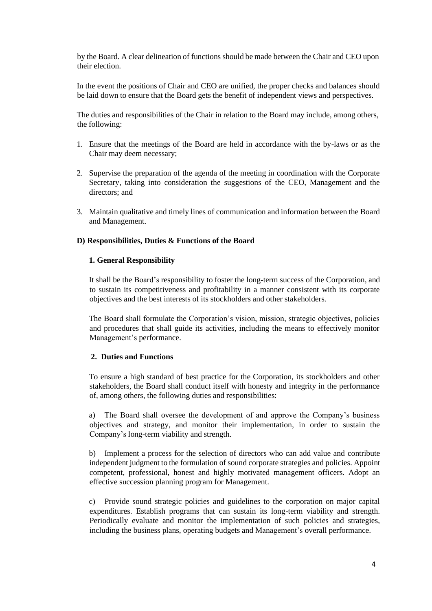by the Board. A clear delineation of functions should be made between the Chair and CEO upon their election.

In the event the positions of Chair and CEO are unified, the proper checks and balances should be laid down to ensure that the Board gets the benefit of independent views and perspectives.

The duties and responsibilities of the Chair in relation to the Board may include, among others, the following:

- 1. Ensure that the meetings of the Board are held in accordance with the by-laws or as the Chair may deem necessary;
- 2. Supervise the preparation of the agenda of the meeting in coordination with the Corporate Secretary, taking into consideration the suggestions of the CEO, Management and the directors; and
- 3. Maintain qualitative and timely lines of communication and information between the Board and Management.

#### **D) Responsibilities, Duties & Functions of the Board**

#### **1. General Responsibility**

It shall be the Board's responsibility to foster the long-term success of the Corporation, and to sustain its competitiveness and profitability in a manner consistent with its corporate objectives and the best interests of its stockholders and other stakeholders.

The Board shall formulate the Corporation's vision, mission, strategic objectives, policies and procedures that shall guide its activities, including the means to effectively monitor Management's performance.

#### **2. Duties and Functions**

To ensure a high standard of best practice for the Corporation, its stockholders and other stakeholders, the Board shall conduct itself with honesty and integrity in the performance of, among others, the following duties and responsibilities:

a) The Board shall oversee the development of and approve the Company's business objectives and strategy, and monitor their implementation, in order to sustain the Company's long-term viability and strength.

b) Implement a process for the selection of directors who can add value and contribute independent judgment to the formulation of sound corporate strategies and policies. Appoint competent, professional, honest and highly motivated management officers. Adopt an effective succession planning program for Management.

c) Provide sound strategic policies and guidelines to the corporation on major capital expenditures. Establish programs that can sustain its long-term viability and strength. Periodically evaluate and monitor the implementation of such policies and strategies, including the business plans, operating budgets and Management's overall performance.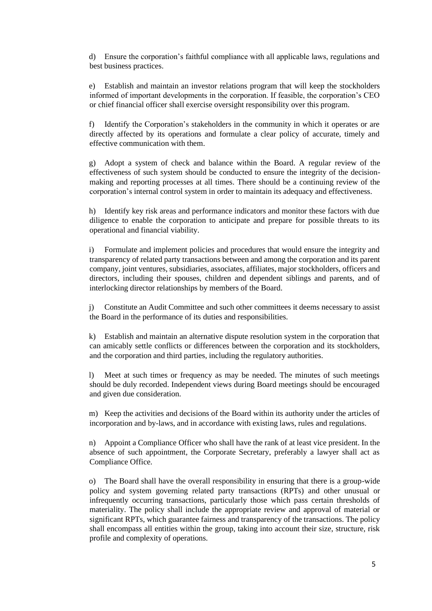d) Ensure the corporation's faithful compliance with all applicable laws, regulations and best business practices.

e) Establish and maintain an investor relations program that will keep the stockholders informed of important developments in the corporation. If feasible, the corporation's CEO or chief financial officer shall exercise oversight responsibility over this program.

f) Identify the Corporation's stakeholders in the community in which it operates or are directly affected by its operations and formulate a clear policy of accurate, timely and effective communication with them.

g) Adopt a system of check and balance within the Board. A regular review of the effectiveness of such system should be conducted to ensure the integrity of the decisionmaking and reporting processes at all times. There should be a continuing review of the corporation's internal control system in order to maintain its adequacy and effectiveness.

h) Identify key risk areas and performance indicators and monitor these factors with due diligence to enable the corporation to anticipate and prepare for possible threats to its operational and financial viability.

i) Formulate and implement policies and procedures that would ensure the integrity and transparency of related party transactions between and among the corporation and its parent company, joint ventures, subsidiaries, associates, affiliates, major stockholders, officers and directors, including their spouses, children and dependent siblings and parents, and of interlocking director relationships by members of the Board.

j) Constitute an Audit Committee and such other committees it deems necessary to assist the Board in the performance of its duties and responsibilities.

k) Establish and maintain an alternative dispute resolution system in the corporation that can amicably settle conflicts or differences between the corporation and its stockholders, and the corporation and third parties, including the regulatory authorities.

l) Meet at such times or frequency as may be needed. The minutes of such meetings should be duly recorded. Independent views during Board meetings should be encouraged and given due consideration.

m) Keep the activities and decisions of the Board within its authority under the articles of incorporation and by-laws, and in accordance with existing laws, rules and regulations.

n) Appoint a Compliance Officer who shall have the rank of at least vice president. In the absence of such appointment, the Corporate Secretary, preferably a lawyer shall act as Compliance Office.

o) The Board shall have the overall responsibility in ensuring that there is a group-wide policy and system governing related party transactions (RPTs) and other unusual or infrequently occurring transactions, particularly those which pass certain thresholds of materiality. The policy shall include the appropriate review and approval of material or significant RPTs, which guarantee fairness and transparency of the transactions. The policy shall encompass all entities within the group, taking into account their size, structure, risk profile and complexity of operations.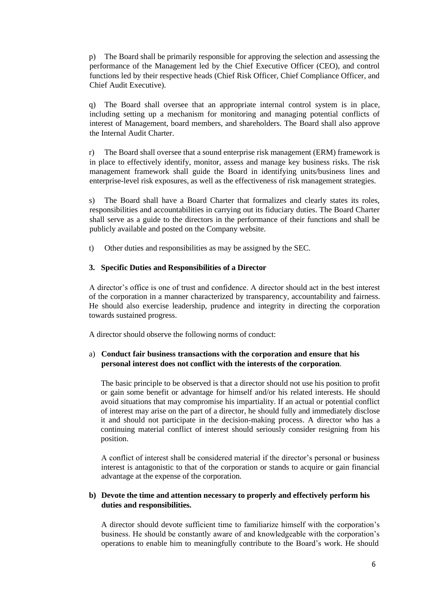p) The Board shall be primarily responsible for approving the selection and assessing the performance of the Management led by the Chief Executive Officer (CEO), and control functions led by their respective heads (Chief Risk Officer, Chief Compliance Officer, and Chief Audit Executive).

q) The Board shall oversee that an appropriate internal control system is in place, including setting up a mechanism for monitoring and managing potential conflicts of interest of Management, board members, and shareholders. The Board shall also approve the Internal Audit Charter.

r) The Board shall oversee that a sound enterprise risk management (ERM) framework is in place to effectively identify, monitor, assess and manage key business risks. The risk management framework shall guide the Board in identifying units/business lines and enterprise-level risk exposures, as well as the effectiveness of risk management strategies.

s) The Board shall have a Board Charter that formalizes and clearly states its roles, responsibilities and accountabilities in carrying out its fiduciary duties. The Board Charter shall serve as a guide to the directors in the performance of their functions and shall be publicly available and posted on the Company website.

t) Other duties and responsibilities as may be assigned by the SEC.

#### **3. Specific Duties and Responsibilities of a Director**

A director's office is one of trust and confidence. A director should act in the best interest of the corporation in a manner characterized by transparency, accountability and fairness. He should also exercise leadership, prudence and integrity in directing the corporation towards sustained progress.

A director should observe the following norms of conduct:

#### a) **Conduct fair business transactions with the corporation and ensure that his personal interest does not conflict with the interests of the corporation**.

The basic principle to be observed is that a director should not use his position to profit or gain some benefit or advantage for himself and/or his related interests. He should avoid situations that may compromise his impartiality. If an actual or potential conflict of interest may arise on the part of a director, he should fully and immediately disclose it and should not participate in the decision-making process. A director who has a continuing material conflict of interest should seriously consider resigning from his position.

A conflict of interest shall be considered material if the director's personal or business interest is antagonistic to that of the corporation or stands to acquire or gain financial advantage at the expense of the corporation.

#### **b) Devote the time and attention necessary to properly and effectively perform his duties and responsibilities.**

A director should devote sufficient time to familiarize himself with the corporation's business. He should be constantly aware of and knowledgeable with the corporation's operations to enable him to meaningfully contribute to the Board's work. He should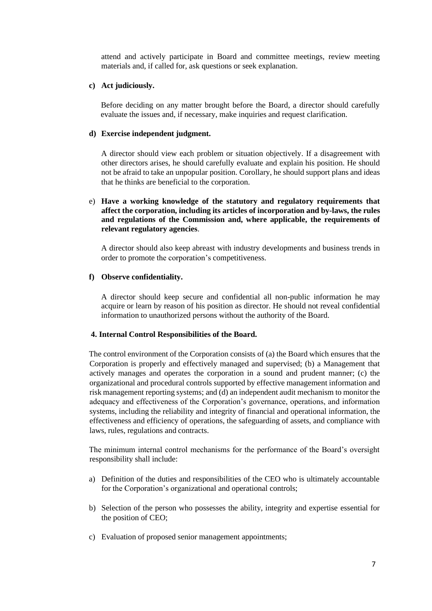attend and actively participate in Board and committee meetings, review meeting materials and, if called for, ask questions or seek explanation.

#### **c) Act judiciously.**

Before deciding on any matter brought before the Board, a director should carefully evaluate the issues and, if necessary, make inquiries and request clarification.

#### **d) Exercise independent judgment.**

A director should view each problem or situation objectively. If a disagreement with other directors arises, he should carefully evaluate and explain his position. He should not be afraid to take an unpopular position. Corollary, he should support plans and ideas that he thinks are beneficial to the corporation.

#### e) **Have a working knowledge of the statutory and regulatory requirements that affect the corporation, including its articles of incorporation and by-laws, the rules and regulations of the Commission and, where applicable, the requirements of relevant regulatory agencies**.

A director should also keep abreast with industry developments and business trends in order to promote the corporation's competitiveness.

#### **f) Observe confidentiality.**

A director should keep secure and confidential all non-public information he may acquire or learn by reason of his position as director. He should not reveal confidential information to unauthorized persons without the authority of the Board.

#### **4. Internal Control Responsibilities of the Board.**

The control environment of the Corporation consists of (a) the Board which ensures that the Corporation is properly and effectively managed and supervised; (b) a Management that actively manages and operates the corporation in a sound and prudent manner; (c) the organizational and procedural controls supported by effective management information and risk management reporting systems; and (d) an independent audit mechanism to monitor the adequacy and effectiveness of the Corporation's governance, operations, and information systems, including the reliability and integrity of financial and operational information, the effectiveness and efficiency of operations, the safeguarding of assets, and compliance with laws, rules, regulations and contracts.

The minimum internal control mechanisms for the performance of the Board's oversight responsibility shall include:

- a) Definition of the duties and responsibilities of the CEO who is ultimately accountable for the Corporation's organizational and operational controls;
- b) Selection of the person who possesses the ability, integrity and expertise essential for the position of CEO;
- c) Evaluation of proposed senior management appointments;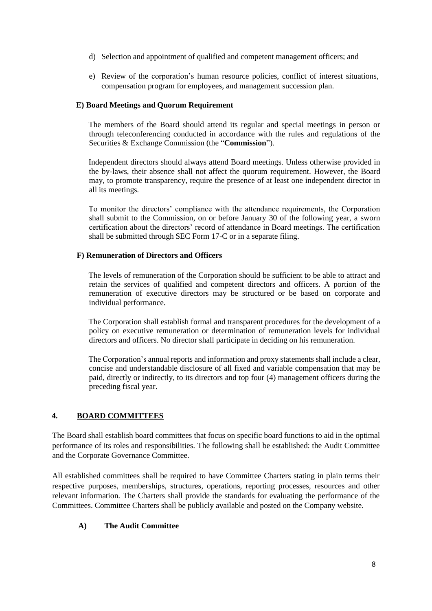- d) Selection and appointment of qualified and competent management officers; and
- e) Review of the corporation's human resource policies, conflict of interest situations, compensation program for employees, and management succession plan.

#### **E) Board Meetings and Quorum Requirement**

The members of the Board should attend its regular and special meetings in person or through teleconferencing conducted in accordance with the rules and regulations of the Securities & Exchange Commission (the "**Commission**").

Independent directors should always attend Board meetings. Unless otherwise provided in the by-laws, their absence shall not affect the quorum requirement. However, the Board may, to promote transparency, require the presence of at least one independent director in all its meetings*.*

To monitor the directors' compliance with the attendance requirements, the Corporation shall submit to the Commission, on or before January 30 of the following year, a sworn certification about the directors' record of attendance in Board meetings. The certification shall be submitted through SEC Form 17-C or in a separate filing.

### **F) Remuneration of Directors and Officers**

The levels of remuneration of the Corporation should be sufficient to be able to attract and retain the services of qualified and competent directors and officers. A portion of the remuneration of executive directors may be structured or be based on corporate and individual performance.

The Corporation shall establish formal and transparent procedures for the development of a policy on executive remuneration or determination of remuneration levels for individual directors and officers. No director shall participate in deciding on his remuneration.

The Corporation's annual reports and information and proxy statements shall include a clear, concise and understandable disclosure of all fixed and variable compensation that may be paid, directly or indirectly, to its directors and top four (4) management officers during the preceding fiscal year.

### **4. BOARD COMMITTEES**

The Board shall establish board committees that focus on specific board functions to aid in the optimal performance of its roles and responsibilities. The following shall be established: the Audit Committee and the Corporate Governance Committee.

All established committees shall be required to have Committee Charters stating in plain terms their respective purposes, memberships, structures, operations, reporting processes, resources and other relevant information. The Charters shall provide the standards for evaluating the performance of the Committees. Committee Charters shall be publicly available and posted on the Company website.

### **A) The Audit Committee**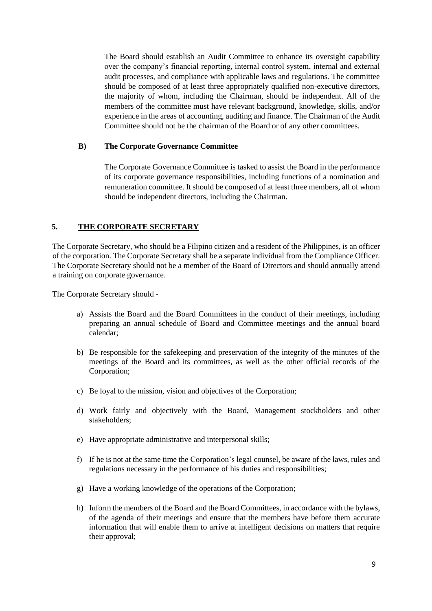The Board should establish an Audit Committee to enhance its oversight capability over the company's financial reporting, internal control system, internal and external audit processes, and compliance with applicable laws and regulations. The committee should be composed of at least three appropriately qualified non-executive directors, the majority of whom, including the Chairman, should be independent. All of the members of the committee must have relevant background, knowledge, skills, and/or experience in the areas of accounting, auditing and finance. The Chairman of the Audit Committee should not be the chairman of the Board or of any other committees.

#### **B) The Corporate Governance Committee**

The Corporate Governance Committee is tasked to assist the Board in the performance of its corporate governance responsibilities, including functions of a nomination and remuneration committee. It should be composed of at least three members, all of whom should be independent directors, including the Chairman.

#### **5. THE CORPORATE SECRETARY**

The Corporate Secretary, who should be a Filipino citizen and a resident of the Philippines, is an officer of the corporation. The Corporate Secretary shall be a separate individual from the Compliance Officer. The Corporate Secretary should not be a member of the Board of Directors and should annually attend a training on corporate governance.

The Corporate Secretary should -

- a) Assists the Board and the Board Committees in the conduct of their meetings, including preparing an annual schedule of Board and Committee meetings and the annual board calendar;
- b) Be responsible for the safekeeping and preservation of the integrity of the minutes of the meetings of the Board and its committees, as well as the other official records of the Corporation;
- c) Be loyal to the mission, vision and objectives of the Corporation;
- d) Work fairly and objectively with the Board, Management stockholders and other stakeholders;
- e) Have appropriate administrative and interpersonal skills;
- f) If he is not at the same time the Corporation's legal counsel, be aware of the laws, rules and regulations necessary in the performance of his duties and responsibilities;
- g) Have a working knowledge of the operations of the Corporation;
- h) Inform the members of the Board and the Board Committees, in accordance with the bylaws, of the agenda of their meetings and ensure that the members have before them accurate information that will enable them to arrive at intelligent decisions on matters that require their approval;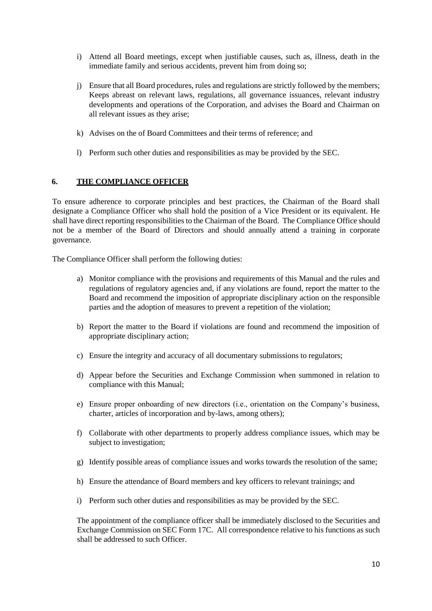- i) Attend all Board meetings, except when justifiable causes, such as, illness, death in the immediate family and serious accidents, prevent him from doing so;
- j) Ensure that all Board procedures, rules and regulations are strictly followed by the members; Keeps abreast on relevant laws, regulations, all governance issuances, relevant industry developments and operations of the Corporation, and advises the Board and Chairman on all relevant issues as they arise;
- k) Advises on the of Board Committees and their terms of reference; and
- l) Perform such other duties and responsibilities as may be provided by the SEC.

### **6. THE COMPLIANCE OFFICER**

To ensure adherence to corporate principles and best practices, the Chairman of the Board shall designate a Compliance Officer who shall hold the position of a Vice President or its equivalent. He shall have direct reporting responsibilities to the Chairman of the Board. The Compliance Office should not be a member of the Board of Directors and should annually attend a training in corporate governance.

The Compliance Officer shall perform the following duties:

- a) Monitor compliance with the provisions and requirements of this Manual and the rules and regulations of regulatory agencies and, if any violations are found, report the matter to the Board and recommend the imposition of appropriate disciplinary action on the responsible parties and the adoption of measures to prevent a repetition of the violation;
- b) Report the matter to the Board if violations are found and recommend the imposition of appropriate disciplinary action;
- c) Ensure the integrity and accuracy of all documentary submissions to regulators;
- d) Appear before the Securities and Exchange Commission when summoned in relation to compliance with this Manual;
- e) Ensure proper onboarding of new directors (i.e., orientation on the Company's business, charter, articles of incorporation and by-laws, among others);
- f) Collaborate with other departments to properly address compliance issues, which may be subject to investigation;
- g) Identify possible areas of compliance issues and works towards the resolution of the same;
- h) Ensure the attendance of Board members and key officers to relevant trainings; and
- i) Perform such other duties and responsibilities as may be provided by the SEC.

The appointment of the compliance officer shall be immediately disclosed to the Securities and Exchange Commission on SEC Form 17C. All correspondence relative to his functions as such shall be addressed to such Officer.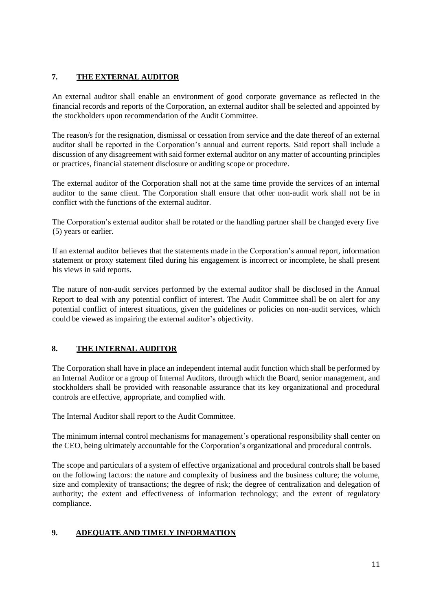# **7. THE EXTERNAL AUDITOR**

An external auditor shall enable an environment of good corporate governance as reflected in the financial records and reports of the Corporation, an external auditor shall be selected and appointed by the stockholders upon recommendation of the Audit Committee.

The reason/s for the resignation, dismissal or cessation from service and the date thereof of an external auditor shall be reported in the Corporation's annual and current reports. Said report shall include a discussion of any disagreement with said former external auditor on any matter of accounting principles or practices, financial statement disclosure or auditing scope or procedure.

The external auditor of the Corporation shall not at the same time provide the services of an internal auditor to the same client. The Corporation shall ensure that other non-audit work shall not be in conflict with the functions of the external auditor.

The Corporation's external auditor shall be rotated or the handling partner shall be changed every five (5) years or earlier.

If an external auditor believes that the statements made in the Corporation's annual report, information statement or proxy statement filed during his engagement is incorrect or incomplete, he shall present his views in said reports.

The nature of non-audit services performed by the external auditor shall be disclosed in the Annual Report to deal with any potential conflict of interest. The Audit Committee shall be on alert for any potential conflict of interest situations, given the guidelines or policies on non-audit services, which could be viewed as impairing the external auditor's objectivity.

# **8. THE INTERNAL AUDITOR**

The Corporation shall have in place an independent internal audit function which shall be performed by an Internal Auditor or a group of Internal Auditors, through which the Board, senior management, and stockholders shall be provided with reasonable assurance that its key organizational and procedural controls are effective, appropriate, and complied with.

The Internal Auditor shall report to the Audit Committee.

The minimum internal control mechanisms for management's operational responsibility shall center on the CEO, being ultimately accountable for the Corporation's organizational and procedural controls.

The scope and particulars of a system of effective organizational and procedural controls shall be based on the following factors: the nature and complexity of business and the business culture; the volume, size and complexity of transactions; the degree of risk; the degree of centralization and delegation of authority; the extent and effectiveness of information technology; and the extent of regulatory compliance.

# **9. ADEQUATE AND TIMELY INFORMATION**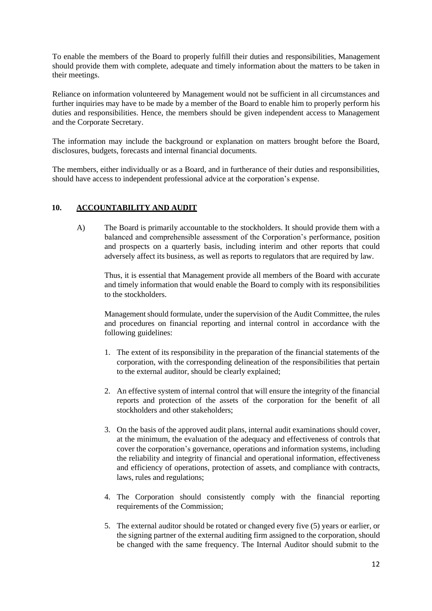To enable the members of the Board to properly fulfill their duties and responsibilities, Management should provide them with complete, adequate and timely information about the matters to be taken in their meetings.

Reliance on information volunteered by Management would not be sufficient in all circumstances and further inquiries may have to be made by a member of the Board to enable him to properly perform his duties and responsibilities. Hence, the members should be given independent access to Management and the Corporate Secretary.

The information may include the background or explanation on matters brought before the Board, disclosures, budgets, forecasts and internal financial documents.

The members, either individually or as a Board, and in furtherance of their duties and responsibilities, should have access to independent professional advice at the corporation's expense.

### **10. ACCOUNTABILITY AND AUDIT**

A) The Board is primarily accountable to the stockholders. It should provide them with a balanced and comprehensible assessment of the Corporation's performance, position and prospects on a quarterly basis, including interim and other reports that could adversely affect its business, as well as reports to regulators that are required by law.

Thus, it is essential that Management provide all members of the Board with accurate and timely information that would enable the Board to comply with its responsibilities to the stockholders.

Management should formulate, under the supervision of the Audit Committee, the rules and procedures on financial reporting and internal control in accordance with the following guidelines:

- 1. The extent of its responsibility in the preparation of the financial statements of the corporation, with the corresponding delineation of the responsibilities that pertain to the external auditor, should be clearly explained;
- 2. An effective system of internal control that will ensure the integrity of the financial reports and protection of the assets of the corporation for the benefit of all stockholders and other stakeholders;
- 3. On the basis of the approved audit plans, internal audit examinations should cover, at the minimum, the evaluation of the adequacy and effectiveness of controls that cover the corporation's governance, operations and information systems, including the reliability and integrity of financial and operational information, effectiveness and efficiency of operations, protection of assets, and compliance with contracts, laws, rules and regulations;
- 4. The Corporation should consistently comply with the financial reporting requirements of the Commission;
- 5. The external auditor should be rotated or changed every five (5) years or earlier, or the signing partner of the external auditing firm assigned to the corporation, should be changed with the same frequency. The Internal Auditor should submit to the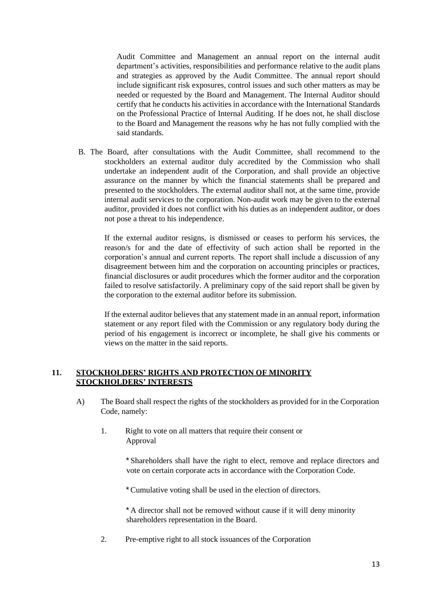Audit Committee and Management an annual report on the internal audit department's activities, responsibilities and performance relative to the audit plans and strategies as approved by the Audit Committee. The annual report should include significant risk exposures, control issues and such other matters as may be needed or requested by the Board and Management. The Internal Auditor should certify that he conducts his activities in accordance with the International Standards on the Professional Practice of Internal Auditing. If he does not, he shall disclose to the Board and Management the reasons why he has not fully complied with the said standards.

B. The Board, after consultations with the Audit Committee, shall recommend to the stockholders an external auditor duly accredited by the Commission who shall undertake an independent audit of the Corporation, and shall provide an objective assurance on the manner by which the financial statements shall be prepared and presented to the stockholders. The external auditor shall not, at the same time, provide internal audit services to the corporation. Non-audit work may be given to the external auditor, provided it does not conflict with his duties as an independent auditor, or does not pose a threat to his independence.

If the external auditor resigns, is dismissed or ceases to perform his services, the reason/s for and the date of effectivity of such action shall be reported in the corporation's annual and current reports. The report shall include a discussion of any disagreement between him and the corporation on accounting principles or practices, financial disclosures or audit procedures which the former auditor and the corporation failed to resolve satisfactorily. A preliminary copy of the said report shall be given by the corporation to the external auditor before its submission.

If the external auditor believes that any statement made in an annual report, information statement or any report filed with the Commission or any regulatory body during the period of his engagement is incorrect or incomplete, he shall give his comments or views on the matter in the said reports.

### **11. STOCKHOLDERS' RIGHTS AND PROTECTION OF MINORITY STOCKHOLDERS' INTERESTS**

- A) The Board shall respect the rights of the stockholders as provided for in the Corporation Code, namely:
	- 1. Right to vote on all matters that require their consent or Approval

\* Shareholders shall have the right to elect, remove and replace directors and vote on certain corporate acts in accordance with the Corporation Code.

\* Cumulative voting shall be used in the election of directors.

\* A director shall not be removed without cause if it will deny minority shareholders representation in the Board.

2. Pre-emptive right to all stock issuances of the Corporation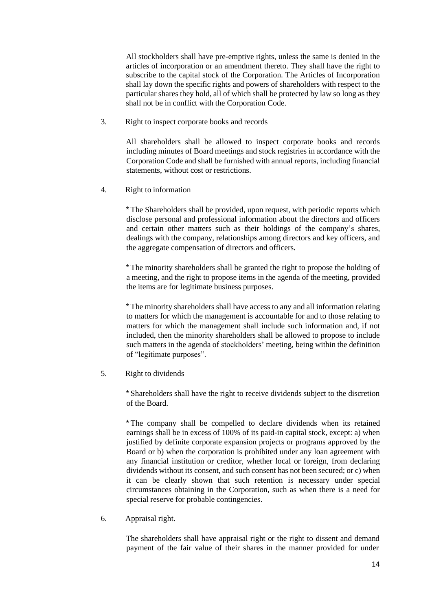All stockholders shall have pre-emptive rights, unless the same is denied in the articles of incorporation or an amendment thereto. They shall have the right to subscribe to the capital stock of the Corporation. The Articles of Incorporation shall lay down the specific rights and powers of shareholders with respect to the particular shares they hold, all of which shall be protected by law so long as they shall not be in conflict with the Corporation Code.

3. Right to inspect corporate books and records

All shareholders shall be allowed to inspect corporate books and records including minutes of Board meetings and stock registries in accordance with the Corporation Code and shall be furnished with annual reports, including financial statements, without cost or restrictions.

4. Right to information

\* The Shareholders shall be provided, upon request, with periodic reports which disclose personal and professional information about the directors and officers and certain other matters such as their holdings of the company's shares, dealings with the company, relationships among directors and key officers, and the aggregate compensation of directors and officers.

\* The minority shareholders shall be granted the right to propose the holding of a meeting, and the right to propose items in the agenda of the meeting, provided the items are for legitimate business purposes.

\* The minority shareholders shall have access to any and all information relating to matters for which the management is accountable for and to those relating to matters for which the management shall include such information and, if not included, then the minority shareholders shall be allowed to propose to include such matters in the agenda of stockholders' meeting, being within the definition of "legitimate purposes".

5. Right to dividends

\* Shareholders shall have the right to receive dividends subject to the discretion of the Board.

\* The company shall be compelled to declare dividends when its retained earnings shall be in excess of 100% of its paid-in capital stock, except: a) when justified by definite corporate expansion projects or programs approved by the Board or b) when the corporation is prohibited under any loan agreement with any financial institution or creditor, whether local or foreign, from declaring dividends without its consent, and such consent has not been secured; or c) when it can be clearly shown that such retention is necessary under special circumstances obtaining in the Corporation, such as when there is a need for special reserve for probable contingencies.

6. Appraisal right.

The shareholders shall have appraisal right or the right to dissent and demand payment of the fair value of their shares in the manner provided for under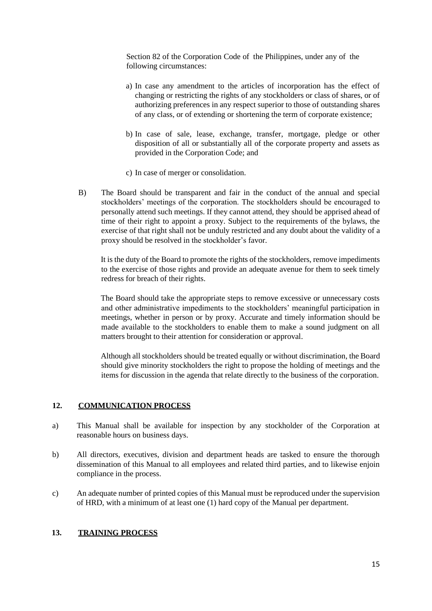Section 82 of the Corporation Code of the Philippines, under any of the following circumstances:

- a) In case any amendment to the articles of incorporation has the effect of changing or restricting the rights of any stockholders or class of shares, or of authorizing preferences in any respect superior to those of outstanding shares of any class, or of extending or shortening the term of corporate existence;
- b) In case of sale, lease, exchange, transfer, mortgage, pledge or other disposition of all or substantially all of the corporate property and assets as provided in the Corporation Code; and
- c) In case of merger or consolidation.
- B) The Board should be transparent and fair in the conduct of the annual and special stockholders' meetings of the corporation. The stockholders should be encouraged to personally attend such meetings. If they cannot attend, they should be apprised ahead of time of their right to appoint a proxy. Subject to the requirements of the bylaws, the exercise of that right shall not be unduly restricted and any doubt about the validity of a proxy should be resolved in the stockholder's favor.

It is the duty of the Board to promote the rights of the stockholders, remove impediments to the exercise of those rights and provide an adequate avenue for them to seek timely redress for breach of their rights.

The Board should take the appropriate steps to remove excessive or unnecessary costs and other administrative impediments to the stockholders' meaningful participation in meetings, whether in person or by proxy. Accurate and timely information should be made available to the stockholders to enable them to make a sound judgment on all matters brought to their attention for consideration or approval.

Although all stockholders should be treated equally or without discrimination, the Board should give minority stockholders the right to propose the holding of meetings and the items for discussion in the agenda that relate directly to the business of the corporation.

### **12. COMMUNICATION PROCESS**

- a) This Manual shall be available for inspection by any stockholder of the Corporation at reasonable hours on business days.
- b) All directors, executives, division and department heads are tasked to ensure the thorough dissemination of this Manual to all employees and related third parties, and to likewise enjoin compliance in the process.
- c) An adequate number of printed copies of this Manual must be reproduced under the supervision of HRD, with a minimum of at least one (1) hard copy of the Manual per department.

### **13. TRAINING PROCESS**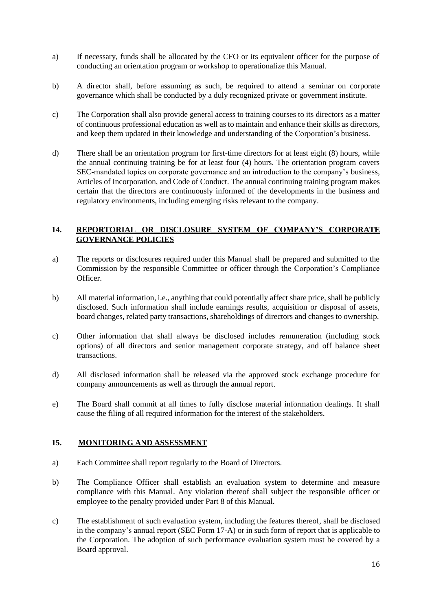- a) If necessary, funds shall be allocated by the CFO or its equivalent officer for the purpose of conducting an orientation program or workshop to operationalize this Manual.
- b) A director shall, before assuming as such, be required to attend a seminar on corporate governance which shall be conducted by a duly recognized private or government institute.
- c) The Corporation shall also provide general access to training courses to its directors as a matter of continuous professional education as well as to maintain and enhance their skills as directors, and keep them updated in their knowledge and understanding of the Corporation's business.
- d) There shall be an orientation program for first-time directors for at least eight (8) hours, while the annual continuing training be for at least four (4) hours. The orientation program covers SEC-mandated topics on corporate governance and an introduction to the company's business, Articles of Incorporation, and Code of Conduct. The annual continuing training program makes certain that the directors are continuously informed of the developments in the business and regulatory environments, including emerging risks relevant to the company.

### **14. REPORTORIAL OR DISCLOSURE SYSTEM OF COMPANY'S CORPORATE GOVERNANCE POLICIES**

- a) The reports or disclosures required under this Manual shall be prepared and submitted to the Commission by the responsible Committee or officer through the Corporation's Compliance Officer.
- b) All material information, i.e., anything that could potentially affect share price, shall be publicly disclosed. Such information shall include earnings results, acquisition or disposal of assets, board changes, related party transactions, shareholdings of directors and changes to ownership.
- c) Other information that shall always be disclosed includes remuneration (including stock options) of all directors and senior management corporate strategy, and off balance sheet transactions.
- d) All disclosed information shall be released via the approved stock exchange procedure for company announcements as well as through the annual report.
- e) The Board shall commit at all times to fully disclose material information dealings. It shall cause the filing of all required information for the interest of the stakeholders.

#### **15. MONITORING AND ASSESSMENT**

- a) Each Committee shall report regularly to the Board of Directors.
- b) The Compliance Officer shall establish an evaluation system to determine and measure compliance with this Manual. Any violation thereof shall subject the responsible officer or employee to the penalty provided under Part 8 of this Manual.
- c) The establishment of such evaluation system, including the features thereof, shall be disclosed in the company's annual report (SEC Form 17-A) or in such form of report that is applicable to the Corporation. The adoption of such performance evaluation system must be covered by a Board approval.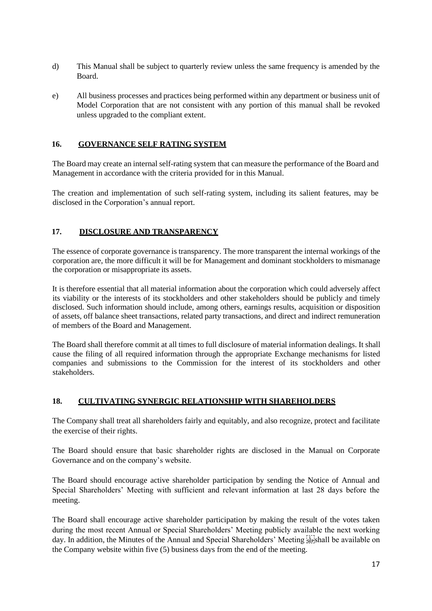- d) This Manual shall be subject to quarterly review unless the same frequency is amended by the Board.
- e) All business processes and practices being performed within any department or business unit of Model Corporation that are not consistent with any portion of this manual shall be revoked unless upgraded to the compliant extent.

# **16. GOVERNANCE SELF RATING SYSTEM**

The Board may create an internal self-rating system that can measure the performance of the Board and Management in accordance with the criteria provided for in this Manual.

The creation and implementation of such self-rating system, including its salient features, may be disclosed in the Corporation's annual report.

# **17. DISCLOSURE AND TRANSPARENCY**

The essence of corporate governance is transparency. The more transparent the internal workings of the corporation are, the more difficult it will be for Management and dominant stockholders to mismanage the corporation or misappropriate its assets.

It is therefore essential that all material information about the corporation which could adversely affect its viability or the interests of its stockholders and other stakeholders should be publicly and timely disclosed. Such information should include, among others, earnings results, acquisition or disposition of assets, off balance sheet transactions, related party transactions, and direct and indirect remuneration of members of the Board and Management.

The Board shall therefore commit at all times to full disclosure of material information dealings. It shall cause the filing of all required information through the appropriate Exchange mechanisms for listed companies and submissions to the Commission for the interest of its stockholders and other stakeholders.

### **18. CULTIVATING SYNERGIC RELATIONSHIP WITH SHAREHOLDERS**

The Company shall treat all shareholders fairly and equitably, and also recognize, protect and facilitate the exercise of their rights.

The Board should ensure that basic shareholder rights are disclosed in the Manual on Corporate Governance and on the company's website.

The Board should encourage active shareholder participation by sending the Notice of Annual and Special Shareholders' Meeting with sufficient and relevant information at last 28 days before the meeting.

The Board shall encourage active shareholder participation by making the result of the votes taken during the most recent Annual or Special Shareholders' Meeting publicly available the next working day. In addition, the Minutes of the Annual and Special Shareholders' Meeting 
shall be available on the Company website within five (5) business days from the end of the meeting.